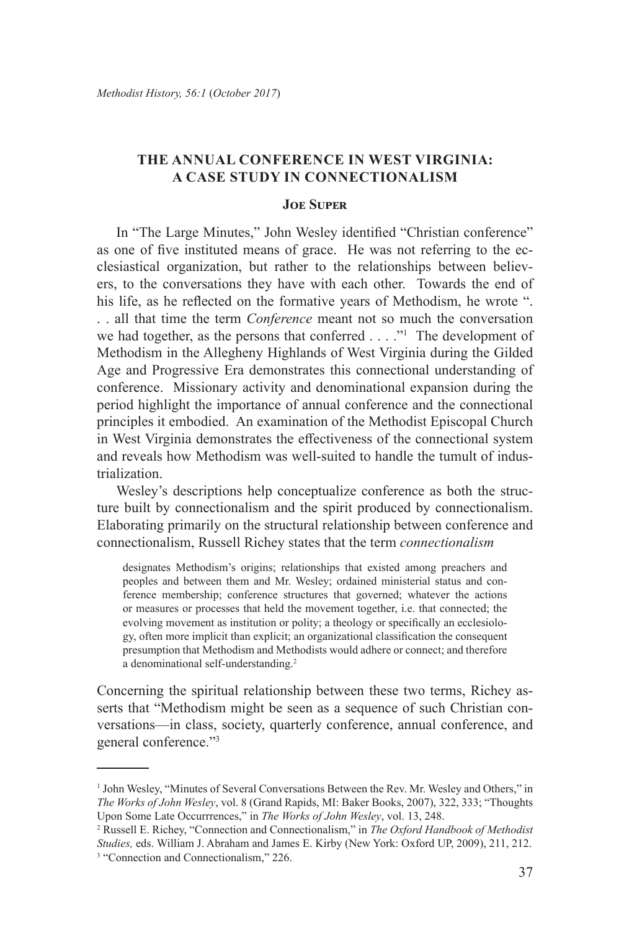## **The Annual Conference in West Virginia: A Case Study in Connectionalism**

## **Joe Super**

In "The Large Minutes," John Wesley identified "Christian conference" as one of five instituted means of grace. He was not referring to the ecclesiastical organization, but rather to the relationships between believers, to the conversations they have with each other. Towards the end of his life, as he reflected on the formative years of Methodism, he wrote ". . . all that time the term *Conference* meant not so much the conversation we had together, as the persons that conferred . . . ."<sup>1</sup> The development of Methodism in the Allegheny Highlands of West Virginia during the Gilded Age and Progressive Era demonstrates this connectional understanding of conference. Missionary activity and denominational expansion during the period highlight the importance of annual conference and the connectional principles it embodied. An examination of the Methodist Episcopal Church in West Virginia demonstrates the effectiveness of the connectional system and reveals how Methodism was well-suited to handle the tumult of industrialization.

Wesley's descriptions help conceptualize conference as both the structure built by connectionalism and the spirit produced by connectionalism. Elaborating primarily on the structural relationship between conference and connectionalism, Russell Richey states that the term *connectionalism*

designates Methodism's origins; relationships that existed among preachers and peoples and between them and Mr. Wesley; ordained ministerial status and conference membership; conference structures that governed; whatever the actions or measures or processes that held the movement together, i.e. that connected; the evolving movement as institution or polity; a theology or specifically an ecclesiology, often more implicit than explicit; an organizational classification the consequent presumption that Methodism and Methodists would adhere or connect; and therefore a denominational self-understanding.<sup>2</sup>

Concerning the spiritual relationship between these two terms, Richey asserts that "Methodism might be seen as a sequence of such Christian conversations—in class, society, quarterly conference, annual conference, and general conference."3

<sup>1</sup> John Wesley, "Minutes of Several Conversations Between the Rev. Mr. Wesley and Others," in *The Works of John Wesley*, vol. 8 (Grand Rapids, MI: Baker Books, 2007), 322, 333; "Thoughts Upon Some Late Occurrrences," in *The Works of John Wesley*, vol. 13, 248.

<sup>2</sup> Russell E. Richey, "Connection and Connectionalism," in *The Oxford Handbook of Methodist Studies,* eds. William J. Abraham and James E. Kirby (New York: Oxford UP, 2009), 211, 212. 3 "Connection and Connectionalism," 226.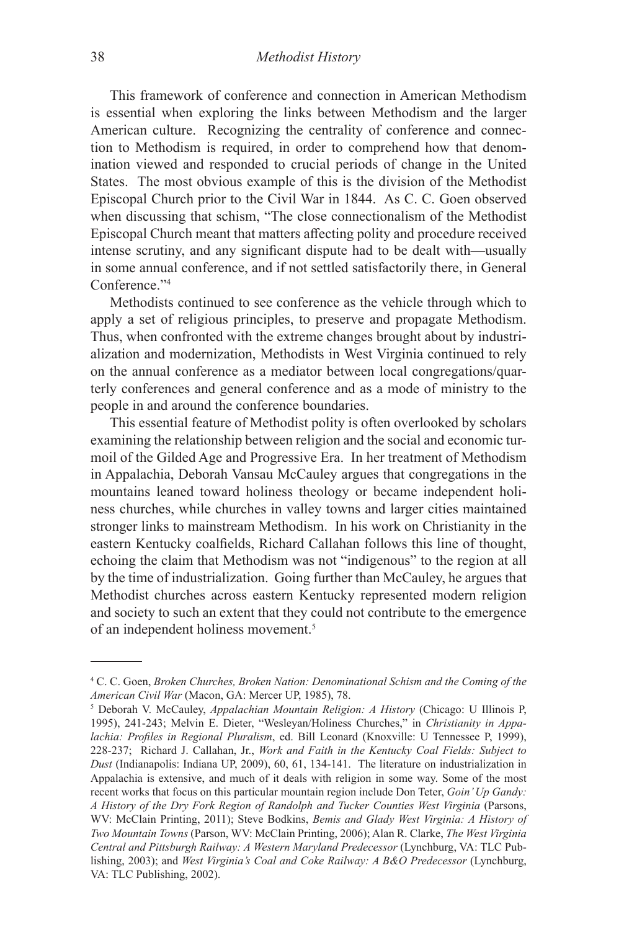This framework of conference and connection in American Methodism is essential when exploring the links between Methodism and the larger American culture. Recognizing the centrality of conference and connection to Methodism is required, in order to comprehend how that denomination viewed and responded to crucial periods of change in the United States. The most obvious example of this is the division of the Methodist Episcopal Church prior to the Civil War in 1844. As C. C. Goen observed when discussing that schism, "The close connectionalism of the Methodist Episcopal Church meant that matters affecting polity and procedure received intense scrutiny, and any significant dispute had to be dealt with—usually in some annual conference, and if not settled satisfactorily there, in General Conference."4

Methodists continued to see conference as the vehicle through which to apply a set of religious principles, to preserve and propagate Methodism. Thus, when confronted with the extreme changes brought about by industrialization and modernization, Methodists in West Virginia continued to rely on the annual conference as a mediator between local congregations/quarterly conferences and general conference and as a mode of ministry to the people in and around the conference boundaries.

This essential feature of Methodist polity is often overlooked by scholars examining the relationship between religion and the social and economic turmoil of the Gilded Age and Progressive Era. In her treatment of Methodism in Appalachia, Deborah Vansau McCauley argues that congregations in the mountains leaned toward holiness theology or became independent holiness churches, while churches in valley towns and larger cities maintained stronger links to mainstream Methodism. In his work on Christianity in the eastern Kentucky coalfields, Richard Callahan follows this line of thought, echoing the claim that Methodism was not "indigenous" to the region at all by the time of industrialization. Going further than McCauley, he argues that Methodist churches across eastern Kentucky represented modern religion and society to such an extent that they could not contribute to the emergence of an independent holiness movement.5

<sup>4</sup> C. C. Goen, *Broken Churches, Broken Nation: Denominational Schism and the Coming of the*  American Civil War (Macon, GA: Mercer UP, 1985), 78.

Deborah V. McCauley, *Appalachian Mountain Religion: A History* (Chicago: U Illinois P, 1995), 241-243; Melvin E. Dieter, "Wesleyan/Holiness Churches," in *Christianity in Appalachia: Profiles in Regional Pluralism*, ed. Bill Leonard (Knoxville: U Tennessee P, 1999), 228-237; Richard J. Callahan, Jr., *Work and Faith in the Kentucky Coal Fields: Subject to Dust* (Indianapolis: Indiana UP, 2009), 60, 61, 134-141. The literature on industrialization in Appalachia is extensive, and much of it deals with religion in some way. Some of the most recent works that focus on this particular mountain region include Don Teter, *Goin' Up Gandy: A History of the Dry Fork Region of Randolph and Tucker Counties West Virginia* (Parsons, WV: McClain Printing, 2011); Steve Bodkins, *Bemis and Glady West Virginia: A History of Two Mountain Towns* (Parson, WV: McClain Printing, 2006); Alan R. Clarke, *The West Virginia Central and Pittsburgh Railway: A Western Maryland Predecessor* (Lynchburg, VA: TLC Publishing, 2003); and *West Virginia's Coal and Coke Railway: A B&O Predecessor* (Lynchburg, VA: TLC Publishing, 2002).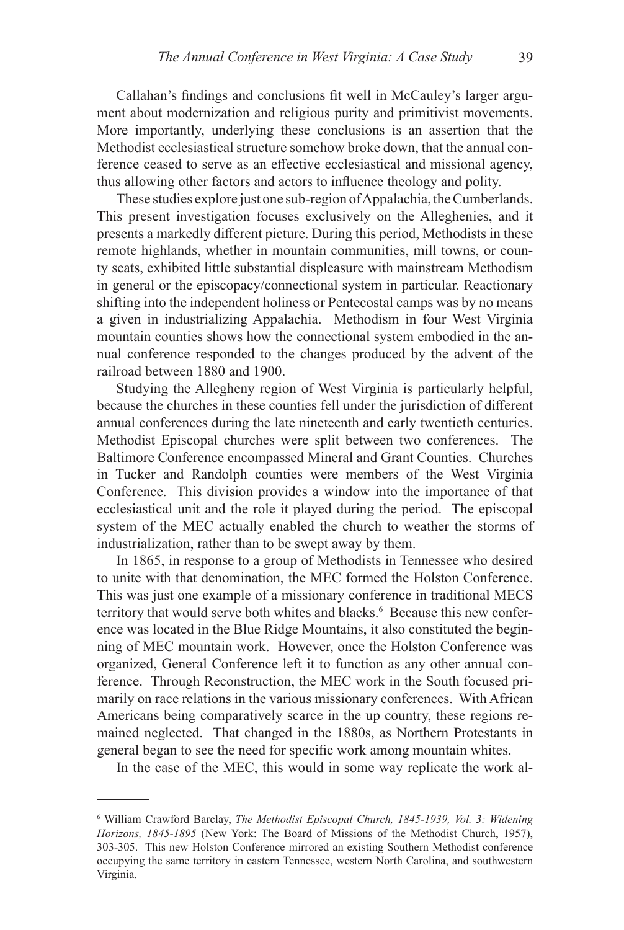Callahan's findings and conclusions fit well in McCauley's larger argument about modernization and religious purity and primitivist movements. More importantly, underlying these conclusions is an assertion that the Methodist ecclesiastical structure somehow broke down, that the annual conference ceased to serve as an effective ecclesiastical and missional agency, thus allowing other factors and actors to influence theology and polity.

These studies explore just one sub-region of Appalachia, the Cumberlands. This present investigation focuses exclusively on the Alleghenies, and it presents a markedly different picture. During this period, Methodists in these remote highlands, whether in mountain communities, mill towns, or county seats, exhibited little substantial displeasure with mainstream Methodism in general or the episcopacy/connectional system in particular. Reactionary shifting into the independent holiness or Pentecostal camps was by no means a given in industrializing Appalachia. Methodism in four West Virginia mountain counties shows how the connectional system embodied in the annual conference responded to the changes produced by the advent of the railroad between 1880 and 1900.

Studying the Allegheny region of West Virginia is particularly helpful, because the churches in these counties fell under the jurisdiction of different annual conferences during the late nineteenth and early twentieth centuries. Methodist Episcopal churches were split between two conferences. The Baltimore Conference encompassed Mineral and Grant Counties. Churches in Tucker and Randolph counties were members of the West Virginia Conference. This division provides a window into the importance of that ecclesiastical unit and the role it played during the period. The episcopal system of the MEC actually enabled the church to weather the storms of industrialization, rather than to be swept away by them.

In 1865, in response to a group of Methodists in Tennessee who desired to unite with that denomination, the MEC formed the Holston Conference. This was just one example of a missionary conference in traditional MECS territory that would serve both whites and blacks.<sup>6</sup> Because this new conference was located in the Blue Ridge Mountains, it also constituted the beginning of MEC mountain work. However, once the Holston Conference was organized, General Conference left it to function as any other annual conference. Through Reconstruction, the MEC work in the South focused primarily on race relations in the various missionary conferences. With African Americans being comparatively scarce in the up country, these regions remained neglected. That changed in the 1880s, as Northern Protestants in general began to see the need for specific work among mountain whites.

In the case of the MEC, this would in some way replicate the work al-

<sup>&</sup>lt;sup>6</sup> William Crawford Barclay, *The Methodist Episcopal Church, 1845-1939, Vol. 3: Widening Horizons, 1845-1895* (New York: The Board of Missions of the Methodist Church, 1957), 303-305. This new Holston Conference mirrored an existing Southern Methodist conference occupying the same territory in eastern Tennessee, western North Carolina, and southwestern Virginia.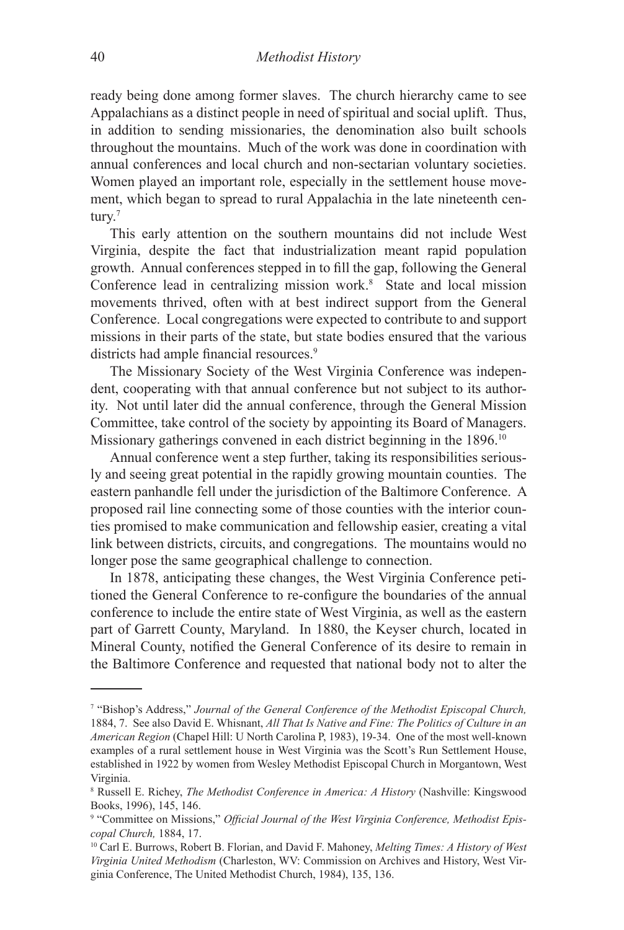ready being done among former slaves. The church hierarchy came to see Appalachians as a distinct people in need of spiritual and social uplift. Thus, in addition to sending missionaries, the denomination also built schools throughout the mountains. Much of the work was done in coordination with annual conferences and local church and non-sectarian voluntary societies. Women played an important role, especially in the settlement house movement, which began to spread to rural Appalachia in the late nineteenth century.<sup>7</sup>

This early attention on the southern mountains did not include West Virginia, despite the fact that industrialization meant rapid population growth. Annual conferences stepped in to fill the gap, following the General Conference lead in centralizing mission work.<sup>8</sup> State and local mission movements thrived, often with at best indirect support from the General Conference. Local congregations were expected to contribute to and support missions in their parts of the state, but state bodies ensured that the various districts had ample financial resources.<sup>9</sup>

The Missionary Society of the West Virginia Conference was independent, cooperating with that annual conference but not subject to its authority. Not until later did the annual conference, through the General Mission Committee, take control of the society by appointing its Board of Managers. Missionary gatherings convened in each district beginning in the 1896.<sup>10</sup>

Annual conference went a step further, taking its responsibilities seriously and seeing great potential in the rapidly growing mountain counties. The eastern panhandle fell under the jurisdiction of the Baltimore Conference. A proposed rail line connecting some of those counties with the interior counties promised to make communication and fellowship easier, creating a vital link between districts, circuits, and congregations. The mountains would no longer pose the same geographical challenge to connection.

In 1878, anticipating these changes, the West Virginia Conference petitioned the General Conference to re-configure the boundaries of the annual conference to include the entire state of West Virginia, as well as the eastern part of Garrett County, Maryland. In 1880, the Keyser church, located in Mineral County, notified the General Conference of its desire to remain in the Baltimore Conference and requested that national body not to alter the

<sup>&</sup>lt;sup>7</sup> "Bishop's Address," *Journal of the General Conference of the Methodist Episcopal Church*, 1884, 7. See also David E. Whisnant, *All That Is Native and Fine: The Politics of Culture in an American Region* (Chapel Hill: U North Carolina P, 1983), 19-34. One of the most well-known examples of a rural settlement house in West Virginia was the Scott's Run Settlement House, established in 1922 by women from Wesley Methodist Episcopal Church in Morgantown, West Virginia.

<sup>8</sup> Russell E. Richey, *The Methodist Conference in America: A History* (Nashville: Kingswood Books, 1996), 145, 146.

<sup>&</sup>lt;sup>9</sup> "Committee on Missions," Official Journal of the West Virginia Conference, Methodist Epis*copal Church,* 1884, 17.

<sup>10</sup> Carl E. Burrows, Robert B. Florian, and David F. Mahoney, *Melting Times: A History of West Virginia United Methodism* (Charleston, WV: Commission on Archives and History, West Virginia Conference, The United Methodist Church, 1984), 135, 136.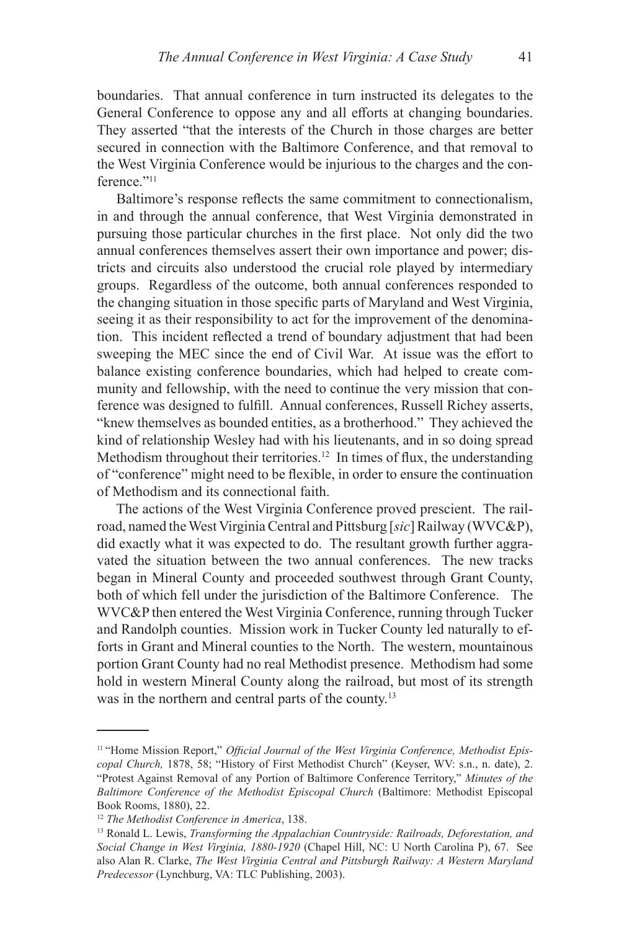boundaries. That annual conference in turn instructed its delegates to the General Conference to oppose any and all efforts at changing boundaries. They asserted "that the interests of the Church in those charges are better secured in connection with the Baltimore Conference, and that removal to the West Virginia Conference would be injurious to the charges and the conference."<sup>11</sup>

Baltimore's response reflects the same commitment to connectionalism, in and through the annual conference, that West Virginia demonstrated in pursuing those particular churches in the first place. Not only did the two annual conferences themselves assert their own importance and power; districts and circuits also understood the crucial role played by intermediary groups. Regardless of the outcome, both annual conferences responded to the changing situation in those specific parts of Maryland and West Virginia, seeing it as their responsibility to act for the improvement of the denomination. This incident reflected a trend of boundary adjustment that had been sweeping the MEC since the end of Civil War. At issue was the effort to balance existing conference boundaries, which had helped to create community and fellowship, with the need to continue the very mission that conference was designed to fulfill. Annual conferences, Russell Richey asserts, "knew themselves as bounded entities, as a brotherhood." They achieved the kind of relationship Wesley had with his lieutenants, and in so doing spread Methodism throughout their territories.<sup>12</sup> In times of flux, the understanding of "conference" might need to be flexible, in order to ensure the continuation of Methodism and its connectional faith.

The actions of the West Virginia Conference proved prescient. The railroad, named the West Virginia Central and Pittsburg [*sic*] Railway (WVC&P), did exactly what it was expected to do. The resultant growth further aggravated the situation between the two annual conferences. The new tracks began in Mineral County and proceeded southwest through Grant County, both of which fell under the jurisdiction of the Baltimore Conference. The WVC&P then entered the West Virginia Conference, running through Tucker and Randolph counties. Mission work in Tucker County led naturally to efforts in Grant and Mineral counties to the North. The western, mountainous portion Grant County had no real Methodist presence. Methodism had some hold in western Mineral County along the railroad, but most of its strength was in the northern and central parts of the county.<sup>13</sup>

<sup>&</sup>lt;sup>11</sup> "Home Mission Report," *Official Journal of the West Virginia Conference*, Methodist Epis*copal Church,* 1878, 58; "History of First Methodist Church" (Keyser, WV: s.n., n. date), 2. "Protest Against Removal of any Portion of Baltimore Conference Territory," *Minutes of the Baltimore Conference of the Methodist Episcopal Church* (Baltimore: Methodist Episcopal Book Rooms, 1880), 22.

<sup>&</sup>lt;sup>12</sup> The Methodist Conference in America, 138.<br><sup>13</sup> Ronald L. Lewis, *Transforming the Appalachian Countryside: Railroads, Deforestation, and Social Change in West Virginia, 1880-1920* (Chapel Hill, NC: U North Carolina P), 67. See also Alan R. Clarke, *The West Virginia Central and Pittsburgh Railway: A Western Maryland Predecessor* (Lynchburg, VA: TLC Publishing, 2003).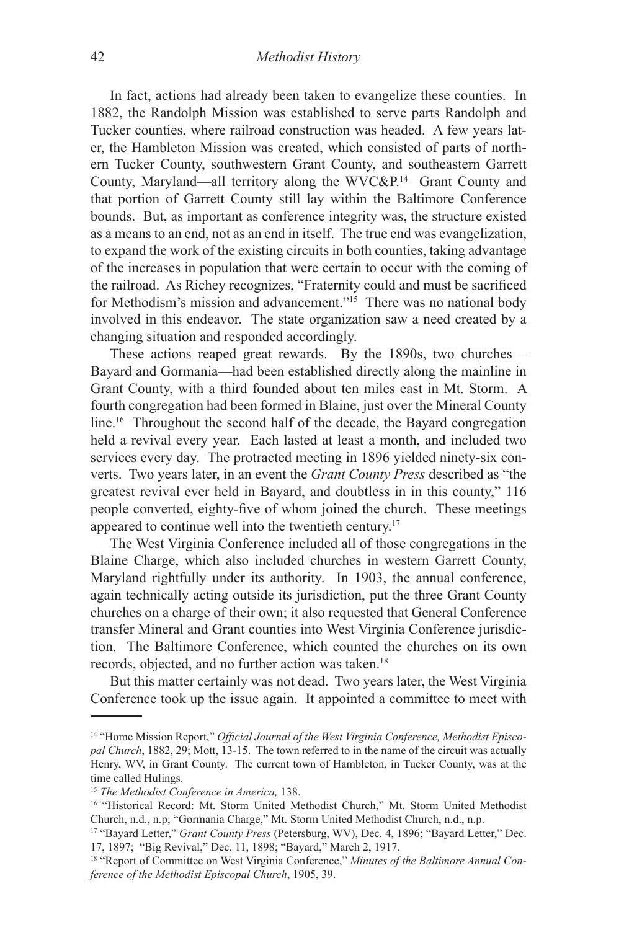In fact, actions had already been taken to evangelize these counties. In 1882, the Randolph Mission was established to serve parts Randolph and Tucker counties, where railroad construction was headed. A few years later, the Hambleton Mission was created, which consisted of parts of northern Tucker County, southwestern Grant County, and southeastern Garrett County, Maryland—all territory along the WVC&P.14 Grant County and that portion of Garrett County still lay within the Baltimore Conference bounds. But, as important as conference integrity was, the structure existed as a means to an end, not as an end in itself. The true end was evangelization, to expand the work of the existing circuits in both counties, taking advantage of the increases in population that were certain to occur with the coming of the railroad. As Richey recognizes, "Fraternity could and must be sacrificed for Methodism's mission and advancement."15 There was no national body involved in this endeavor. The state organization saw a need created by a changing situation and responded accordingly.

These actions reaped great rewards. By the 1890s, two churches— Bayard and Gormania—had been established directly along the mainline in Grant County, with a third founded about ten miles east in Mt. Storm. A fourth congregation had been formed in Blaine, just over the Mineral County line.<sup>16</sup> Throughout the second half of the decade, the Bayard congregation held a revival every year. Each lasted at least a month, and included two services every day. The protracted meeting in 1896 yielded ninety-six converts. Two years later, in an event the *Grant County Press* described as "the greatest revival ever held in Bayard, and doubtless in in this county," 116 people converted, eighty-five of whom joined the church. These meetings appeared to continue well into the twentieth century.17

The West Virginia Conference included all of those congregations in the Blaine Charge, which also included churches in western Garrett County, Maryland rightfully under its authority. In 1903, the annual conference, again technically acting outside its jurisdiction, put the three Grant County churches on a charge of their own; it also requested that General Conference transfer Mineral and Grant counties into West Virginia Conference jurisdiction. The Baltimore Conference, which counted the churches on its own records, objected, and no further action was taken.<sup>18</sup>

But this matter certainly was not dead. Two years later, the West Virginia Conference took up the issue again. It appointed a committee to meet with

<sup>14 &</sup>quot;Home Mission Report," *Official Journal of the West Virginia Conference, Methodist Episcopal Church*, 1882, 29; Mott, 13-15. The town referred to in the name of the circuit was actually Henry, WV, in Grant County. The current town of Hambleton, in Tucker County, was at the time called Hulings.

<sup>&</sup>lt;sup>15</sup> The Methodist Conference in America, 138.<br><sup>16</sup> "Historical Record: Mt. Storm United Methodist Church," Mt. Storm United Methodist Church, n.d., n.p; "Gormania Charge," Mt. Storm United Methodist Church, n.d., n.p.

<sup>&</sup>lt;sup>17</sup> "Bayard Letter," *Grant County Press* (Petersburg, WV), Dec. 4, 1896; "Bayard Letter," Dec. 17, 1897; "Big Revival," Dec. 11, 1898; "Bayard," March 2, 1917.

<sup>18 &</sup>quot;Report of Committee on West Virginia Conference," *Minutes of the Baltimore Annual Conference of the Methodist Episcopal Church*, 1905, 39.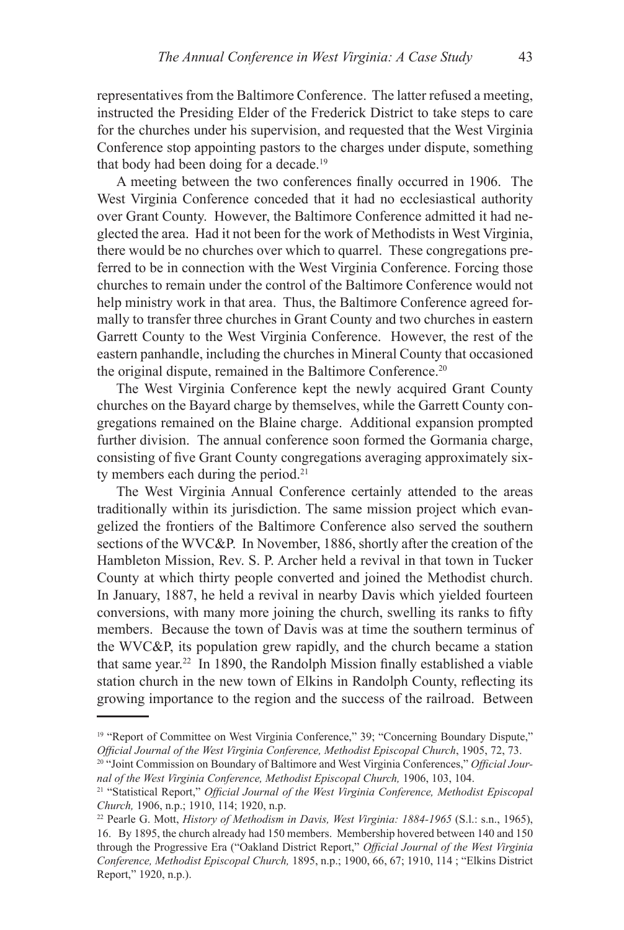representatives from the Baltimore Conference. The latter refused a meeting, instructed the Presiding Elder of the Frederick District to take steps to care for the churches under his supervision, and requested that the West Virginia Conference stop appointing pastors to the charges under dispute, something that body had been doing for a decade.19

A meeting between the two conferences finally occurred in 1906. The West Virginia Conference conceded that it had no ecclesiastical authority over Grant County. However, the Baltimore Conference admitted it had neglected the area. Had it not been for the work of Methodists in West Virginia, there would be no churches over which to quarrel. These congregations preferred to be in connection with the West Virginia Conference. Forcing those churches to remain under the control of the Baltimore Conference would not help ministry work in that area. Thus, the Baltimore Conference agreed formally to transfer three churches in Grant County and two churches in eastern Garrett County to the West Virginia Conference. However, the rest of the eastern panhandle, including the churches in Mineral County that occasioned the original dispute, remained in the Baltimore Conference.20

The West Virginia Conference kept the newly acquired Grant County churches on the Bayard charge by themselves, while the Garrett County congregations remained on the Blaine charge. Additional expansion prompted further division. The annual conference soon formed the Gormania charge, consisting of five Grant County congregations averaging approximately sixty members each during the period.<sup>21</sup>

The West Virginia Annual Conference certainly attended to the areas traditionally within its jurisdiction. The same mission project which evangelized the frontiers of the Baltimore Conference also served the southern sections of the WVC&P. In November, 1886, shortly after the creation of the Hambleton Mission, Rev. S. P. Archer held a revival in that town in Tucker County at which thirty people converted and joined the Methodist church. In January, 1887, he held a revival in nearby Davis which yielded fourteen conversions, with many more joining the church, swelling its ranks to fifty members. Because the town of Davis was at time the southern terminus of the WVC&P, its population grew rapidly, and the church became a station that same year.<sup>22</sup> In 1890, the Randolph Mission finally established a viable station church in the new town of Elkins in Randolph County, reflecting its growing importance to the region and the success of the railroad. Between

<sup>&</sup>lt;sup>19</sup> "Report of Committee on West Virginia Conference," 39; "Concerning Boundary Dispute," *Official Journal of the West Virginia Conference, Methodist Episcopal Church*, 1905, 72, 73.

<sup>20</sup> "Joint Commission on Boundary of Baltimore and West Virginia Conferences," *Official Journal of the West Virginia Conference, Methodist Episcopal Church,* 1906, 103, 104.

<sup>21</sup> "Statistical Report," *Official Journal of the West Virginia Conference, Methodist Episcopal Church,* 1906, n.p.; 1910, 114; 1920, n.p.

<sup>&</sup>lt;sup>22</sup> Pearle G. Mott, *History of Methodism in Davis, West Virginia: 1884-1965* (S.l.: s.n., 1965), 16. By 1895, the church already had 150 members. Membership hovered between 140 and 150 through the Progressive Era ("Oakland District Report," *Official Journal of the West Virginia Conference, Methodist Episcopal Church,* 1895, n.p.; 1900, 66, 67; 1910, 114 ; "Elkins District Report," 1920, n.p.).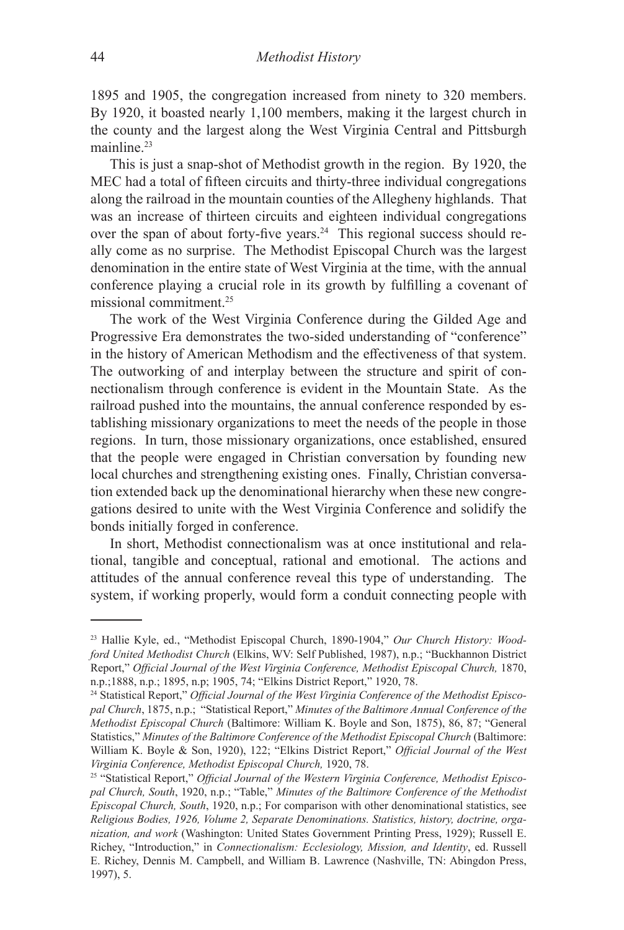1895 and 1905, the congregation increased from ninety to 320 members. By 1920, it boasted nearly 1,100 members, making it the largest church in the county and the largest along the West Virginia Central and Pittsburgh mainline.<sup>23</sup>

This is just a snap-shot of Methodist growth in the region. By 1920, the MEC had a total of fifteen circuits and thirty-three individual congregations along the railroad in the mountain counties of the Allegheny highlands. That was an increase of thirteen circuits and eighteen individual congregations over the span of about forty-five years.24 This regional success should really come as no surprise. The Methodist Episcopal Church was the largest denomination in the entire state of West Virginia at the time, with the annual conference playing a crucial role in its growth by fulfilling a covenant of missional commitment.25

The work of the West Virginia Conference during the Gilded Age and Progressive Era demonstrates the two-sided understanding of "conference" in the history of American Methodism and the effectiveness of that system. The outworking of and interplay between the structure and spirit of connectionalism through conference is evident in the Mountain State. As the railroad pushed into the mountains, the annual conference responded by establishing missionary organizations to meet the needs of the people in those regions. In turn, those missionary organizations, once established, ensured that the people were engaged in Christian conversation by founding new local churches and strengthening existing ones. Finally, Christian conversation extended back up the denominational hierarchy when these new congregations desired to unite with the West Virginia Conference and solidify the bonds initially forged in conference.

In short, Methodist connectionalism was at once institutional and relational, tangible and conceptual, rational and emotional. The actions and attitudes of the annual conference reveal this type of understanding. The system, if working properly, would form a conduit connecting people with

<sup>23</sup> Hallie Kyle, ed., "Methodist Episcopal Church, 1890-1904," *Our Church History: Woodford United Methodist Church* (Elkins, WV: Self Published, 1987), n.p.; "Buckhannon District Report," *Official Journal of the West Virginia Conference, Methodist Episcopal Church,* 1870, n.p.; 1895, n.p; 1905, 74; "Elkins District Report," 1920, 78.

<sup>&</sup>lt;sup>24</sup> Statistical Report," *Official Journal of the West Virginia Conference of the Methodist Episcopal Church*, 1875, n.p.; "Statistical Report," *Minutes of the Baltimore Annual Conference of the Methodist Episcopal Church* (Baltimore: William K. Boyle and Son, 1875), 86, 87; "General Statistics," *Minutes of the Baltimore Conference of the Methodist Episcopal Church (Baltimore:* William K. Boyle & Son, 1920), 122; "Elkins District Report," *Official Journal of the West Virginia Conference, Methodist Episcopal Church,* 1920, 78.

<sup>25 &</sup>quot;Statistical Report," *Official Journal of the Western Virginia Conference, Methodist Episcopal Church, South*, 1920, n.p.; "Table," *Minutes of the Baltimore Conference of the Methodist Episcopal Church, South*, 1920, n.p.; For comparison with other denominational statistics, see *Religious Bodies, 1926, Volume 2, Separate Denominations. Statistics, history, doctrine, organization, and work* (Washington: United States Government Printing Press, 1929); Russell E. Richey, "Introduction," in *Connectionalism: Ecclesiology, Mission, and Identity*, ed. Russell E. Richey, Dennis M. Campbell, and William B. Lawrence (Nashville, TN: Abingdon Press, 1997), 5.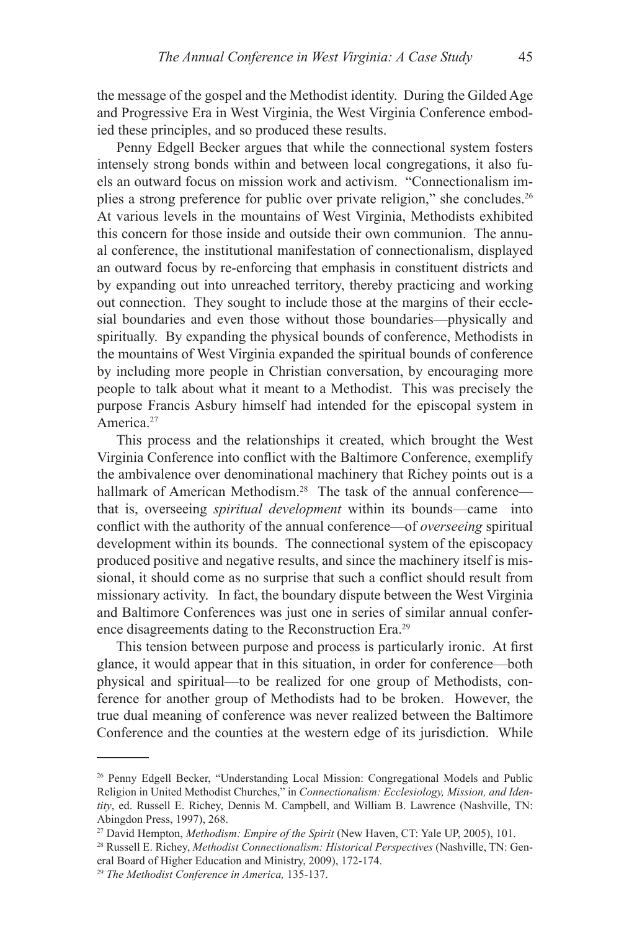the message of the gospel and the Methodist identity. During the Gilded Age and Progressive Era in West Virginia, the West Virginia Conference embodied these principles, and so produced these results.

Penny Edgell Becker argues that while the connectional system fosters intensely strong bonds within and between local congregations, it also fuels an outward focus on mission work and activism. "Connectionalism implies a strong preference for public over private religion," she concludes.26 At various levels in the mountains of West Virginia, Methodists exhibited this concern for those inside and outside their own communion. The annual conference, the institutional manifestation of connectionalism, displayed an outward focus by re-enforcing that emphasis in constituent districts and by expanding out into unreached territory, thereby practicing and working out connection. They sought to include those at the margins of their ecclesial boundaries and even those without those boundaries—physically and spiritually. By expanding the physical bounds of conference, Methodists in the mountains of West Virginia expanded the spiritual bounds of conference by including more people in Christian conversation, by encouraging more people to talk about what it meant to a Methodist. This was precisely the purpose Francis Asbury himself had intended for the episcopal system in America.<sup>27</sup>

This process and the relationships it created, which brought the West Virginia Conference into conflict with the Baltimore Conference, exemplify the ambivalence over denominational machinery that Richey points out is a hallmark of American Methodism.<sup>28</sup> The task of the annual conference that is, overseeing *spiritual development* within its bounds—came into conflict with the authority of the annual conference—of *overseeing* spiritual development within its bounds. The connectional system of the episcopacy produced positive and negative results, and since the machinery itself is missional, it should come as no surprise that such a conflict should result from missionary activity. In fact, the boundary dispute between the West Virginia and Baltimore Conferences was just one in series of similar annual conference disagreements dating to the Reconstruction Era.29

This tension between purpose and process is particularly ironic. At first glance, it would appear that in this situation, in order for conference—both physical and spiritual—to be realized for one group of Methodists, conference for another group of Methodists had to be broken. However, the true dual meaning of conference was never realized between the Baltimore Conference and the counties at the western edge of its jurisdiction. While

<sup>26</sup> Penny Edgell Becker, "Understanding Local Mission: Congregational Models and Public Religion in United Methodist Churches," in *Connectionalism: Ecclesiology, Mission, and Identity*, ed. Russell E. Richey, Dennis M. Campbell, and William B. Lawrence (Nashville, TN: Abingdon Press, 1997), 268.

<sup>27</sup> David Hempton, *Methodism: Empire of the Spirit* (New Haven, CT: Yale UP, 2005), 101. 28 Russell E. Richey, *Methodist Connectionalism: Historical Perspectives* (Nashville, TN: Gen-

eral Board of Higher Education and Ministry, 2009), 172-174.

<sup>29</sup> *The Methodist Conference in America,* 135-137.